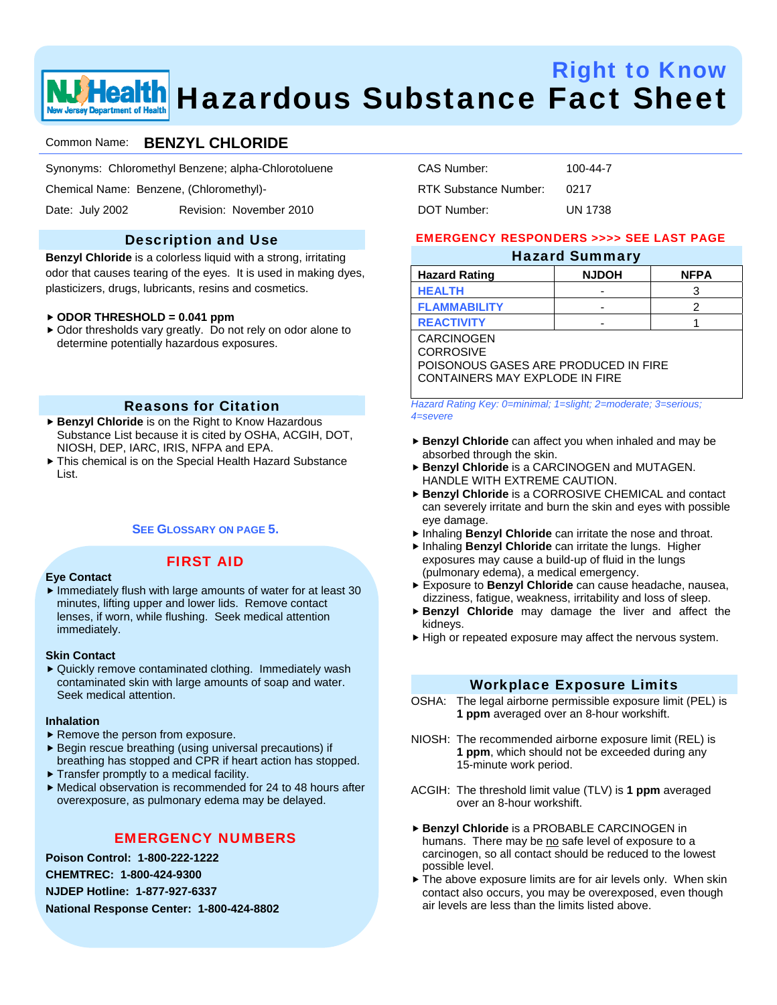

# Right to Know **We Health** Hazardous Substance Fact Sheet

## Common Name: **BENZYL CHLORIDE**

Synonyms: Chloromethyl Benzene; alpha-Chlorotoluene

Chemical Name: Benzene, (Chloromethyl)-

Date: July 2002 Revision: November 2010

## Description and Use

**Benzyl Chloride** is a colorless liquid with a strong, irritating odor that causes tearing of the eyes. It is used in making dyes, plasticizers, drugs, lubricants, resins and cosmetics.

#### f **ODOR THRESHOLD = 0.041 ppm**

 $\triangleright$  Odor thresholds vary greatly. Do not rely on odor alone to determine potentially hazardous exposures.

#### Reasons for Citation

- ▶ Benzyl Chloride is on the Right to Know Hazardous Substance List because it is cited by OSHA, ACGIH, DOT, NIOSH, DEP, IARC, IRIS, NFPA and EPA.
- $\blacktriangleright$  This chemical is on the Special Health Hazard Substance List.

#### **SEE GLOSSARY ON PAGE 5.**

## FIRST AID

#### **Eye Contact**

 $\blacktriangleright$  Immediately flush with large amounts of water for at least 30 minutes, lifting upper and lower lids. Remove contact lenses, if worn, while flushing. Seek medical attention immediately.

#### **Skin Contact**

▶ Quickly remove contaminated clothing. Immediately wash contaminated skin with large amounts of soap and water. Seek medical attention.

#### **Inhalation**

- $\blacktriangleright$  Remove the person from exposure.
- $\blacktriangleright$  Begin rescue breathing (using universal precautions) if breathing has stopped and CPR if heart action has stopped.
- $\blacktriangleright$  Transfer promptly to a medical facility.
- $\blacktriangleright$  Medical observation is recommended for 24 to 48 hours after overexposure, as pulmonary edema may be delayed.

#### EMERGENCY NUMBERS

**Poison Control: 1-800-222-1222** 

**CHEMTREC: 1-800-424-9300** 

**NJDEP Hotline: 1-877-927-6337** 

**National Response Center: 1-800-424-8802** 

| CAS Number:           | $100 - 44 - 7$ |
|-----------------------|----------------|
| RTK Substance Number: | 0217           |
| DOT Number:           | <b>UN 1738</b> |

#### EMERGENCY RESPONDERS >>>> SEE LAST PAGE

### Hazard Summary

| <b>Hazard Rating</b> | <b>NJDOH</b> | <b>NFPA</b> |
|----------------------|--------------|-------------|
| <b>HEALTH</b>        | -            |             |
| <b>FLAMMABILITY</b>  | -            |             |
| <b>REACTIVITY</b>    | -            |             |
|                      |              |             |

CARCINOGEN CORROSIVE

POISONOUS GASES ARE PRODUCED IN FIRE CONTAINERS MAY EXPLODE IN FIRE

*Hazard Rating Key: 0=minimal; 1=slight; 2=moderate; 3=serious; 4=severe*

- **Benzyl Chloride** can affect you when inhaled and may be absorbed through the skin.
- **Benzyl Chloride** is a CARCINOGEN and MUTAGEN. HANDLE WITH EXTREME CAUTION.
- **Benzyl Chloride** is a CORROSIVE CHEMICAL and contact can severely irritate and burn the skin and eyes with possible eye damage.
- **F** Inhaling **Benzyl Chloride** can irritate the nose and throat.
- **F** Inhaling **Benzyl Chloride** can irritate the lungs. Higher exposures may cause a build-up of fluid in the lungs (pulmonary edema), a medical emergency.
- **F** Exposure to Benzyl Chloride can cause headache, nausea, dizziness, fatigue, weakness, irritability and loss of sleep.
- **Benzyl Chloride** may damage the liver and affect the kidneys.
- $\blacktriangleright$  High or repeated exposure may affect the nervous system.

#### Workplace Exposure Limits

- OSHA: The legal airborne permissible exposure limit (PEL) is **1 ppm** averaged over an 8-hour workshift.
- NIOSH: The recommended airborne exposure limit (REL) is **1 ppm**, which should not be exceeded during any 15-minute work period.
- ACGIH: The threshold limit value (TLV) is **1 ppm** averaged over an 8-hour workshift.
- **▶ Benzyl Chloride** is a PROBABLE CARCINOGEN in humans. There may be no safe level of exposure to a carcinogen, so all contact should be reduced to the lowest possible level.
- $\blacktriangleright$  The above exposure limits are for air levels only. When skin contact also occurs, you may be overexposed, even though air levels are less than the limits listed above.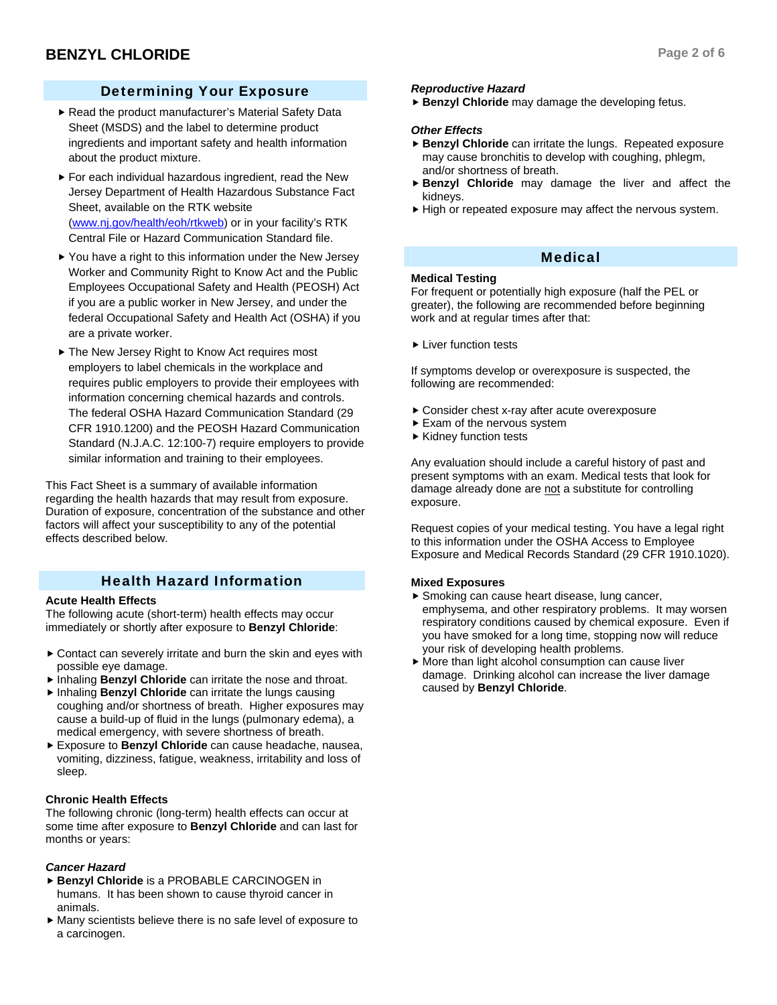## Determining Your Exposure

- Read the product manufacturer's Material Safety Data Sheet (MSDS) and the label to determine product ingredients and important safety and health information about the product mixture.
- $\blacktriangleright$  For each individual hazardous ingredient, read the New Jersey Department of Health Hazardous Substance Fact Sheet, available on the RTK website (www.nj.gov/health/eoh/rtkweb) or in your facility's RTK Central File or Hazard Communication Standard file.
- $\blacktriangleright$  You have a right to this information under the New Jersey Worker and Community Right to Know Act and the Public Employees Occupational Safety and Health (PEOSH) Act if you are a public worker in New Jersey, and under the federal Occupational Safety and Health Act (OSHA) if you are a private worker.
- ▶ The New Jersey Right to Know Act requires most employers to label chemicals in the workplace and requires public employers to provide their employees with information concerning chemical hazards and controls. The federal OSHA Hazard Communication Standard (29 CFR 1910.1200) and the PEOSH Hazard Communication Standard (N.J.A.C. 12:100-7) require employers to provide similar information and training to their employees.

This Fact Sheet is a summary of available information regarding the health hazards that may result from exposure. Duration of exposure, concentration of the substance and other factors will affect your susceptibility to any of the potential effects described below.

## Health Hazard Information

## **Acute Health Effects**

The following acute (short-term) health effects may occur immediately or shortly after exposure to **Benzyl Chloride**:

- $\triangleright$  Contact can severely irritate and burn the skin and eyes with possible eye damage.
- **F** Inhaling **Benzyl Chloride** can irritate the nose and throat.
- **F** Inhaling **Benzyl Chloride** can irritate the lungs causing coughing and/or shortness of breath. Higher exposures may cause a build-up of fluid in the lungs (pulmonary edema), a medical emergency, with severe shortness of breath.
- **F** Exposure to Benzyl Chloride can cause headache, nausea, vomiting, dizziness, fatigue, weakness, irritability and loss of sleep.

## **Chronic Health Effects**

The following chronic (long-term) health effects can occur at some time after exposure to **Benzyl Chloride** and can last for months or years:

## *Cancer Hazard*

- **Benzyl Chloride** is a PROBABLE CARCINOGEN in humans. It has been shown to cause thyroid cancer in animals.
- $\blacktriangleright$  Many scientists believe there is no safe level of exposure to a carcinogen.

## *Reproductive Hazard*

**Benzyl Chloride** may damage the developing fetus.

## *Other Effects*

- ▶ Benzyl Chloride can irritate the lungs. Repeated exposure may cause bronchitis to develop with coughing, phlegm, and/or shortness of breath.
- **► Benzyl Chloride** may damage the liver and affect the kidneys.
- $\blacktriangleright$  High or repeated exposure may affect the nervous system.

## Medical

## **Medical Testing**

For frequent or potentially high exposure (half the PEL or greater), the following are recommended before beginning work and at regular times after that:

 $\blacktriangleright$  Liver function tests

If symptoms develop or overexposure is suspected, the following are recommended:

- $\blacktriangleright$  Consider chest x-ray after acute overexposure
- $\blacktriangleright$  Exam of the nervous system
- $\blacktriangleright$  Kidney function tests

Any evaluation should include a careful history of past and present symptoms with an exam. Medical tests that look for damage already done are not a substitute for controlling exposure.

Request copies of your medical testing. You have a legal right to this information under the OSHA Access to Employee Exposure and Medical Records Standard (29 CFR 1910.1020).

## **Mixed Exposures**

- $\blacktriangleright$  Smoking can cause heart disease, lung cancer, emphysema, and other respiratory problems. It may worsen respiratory conditions caused by chemical exposure. Even if you have smoked for a long time, stopping now will reduce your risk of developing health problems.
- $\blacktriangleright$  More than light alcohol consumption can cause liver damage. Drinking alcohol can increase the liver damage caused by **Benzyl Chloride**.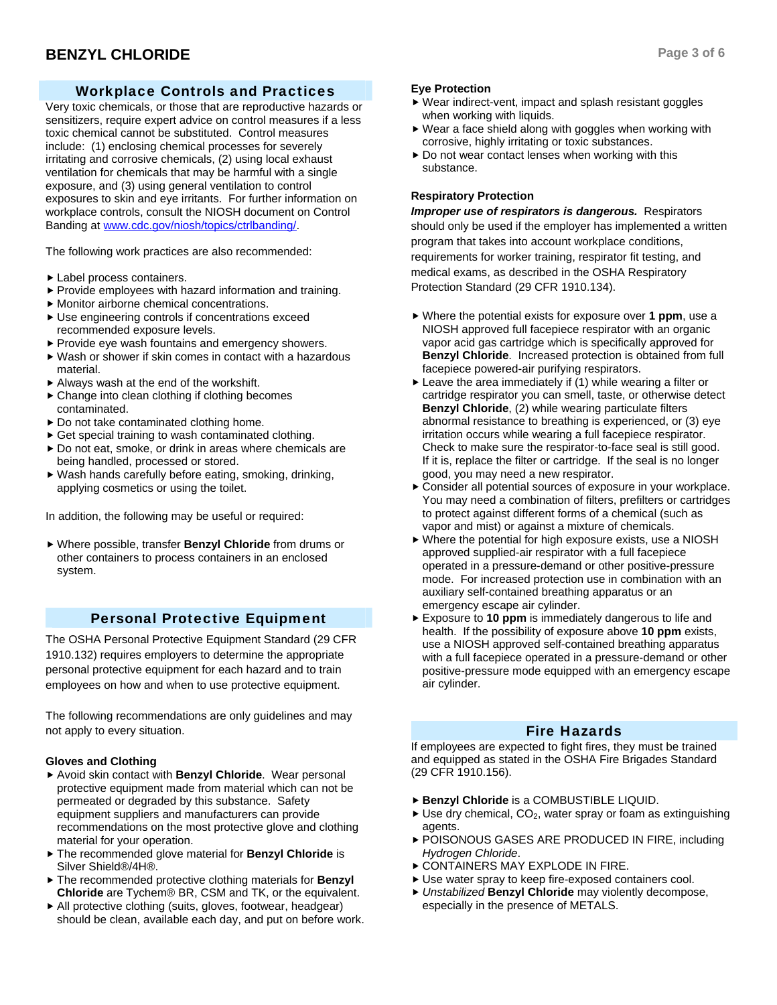## **BENZYL CHLORIDE** Page 3 of 6

## Workplace Controls and Practices

Very toxic chemicals, or those that are reproductive hazards or sensitizers, require expert advice on control measures if a less toxic chemical cannot be substituted. Control measures include: (1) enclosing chemical processes for severely irritating and corrosive chemicals, (2) using local exhaust ventilation for chemicals that may be harmful with a single exposure, and (3) using general ventilation to control exposures to skin and eye irritants. For further information on workplace controls, consult the NIOSH document on Control Banding at www.cdc.gov/niosh/topics/ctrlbanding/.

The following work practices are also recommended:

- $\blacktriangleright$  Label process containers.
- $\blacktriangleright$  Provide employees with hazard information and training.
- $\blacktriangleright$  Monitor airborne chemical concentrations.
- $\blacktriangleright$  Use engineering controls if concentrations exceed recommended exposure levels.
- $\blacktriangleright$  Provide eye wash fountains and emergency showers.
- $\blacktriangleright$  Wash or shower if skin comes in contact with a hazardous material.
- $\blacktriangleright$  Always wash at the end of the workshift.
- $\triangleright$  Change into clean clothing if clothing becomes contaminated.
- $\triangleright$  Do not take contaminated clothing home.
- $\triangleright$  Get special training to wash contaminated clothing.
- $\triangleright$  Do not eat, smoke, or drink in areas where chemicals are being handled, processed or stored.
- $\blacktriangleright$  Wash hands carefully before eating, smoking, drinking, applying cosmetics or using the toilet.

In addition, the following may be useful or required:

f Where possible, transfer **Benzyl Chloride** from drums or other containers to process containers in an enclosed system.

## Personal Protective Equipment

The OSHA Personal Protective Equipment Standard (29 CFR 1910.132) requires employers to determine the appropriate personal protective equipment for each hazard and to train employees on how and when to use protective equipment.

The following recommendations are only guidelines and may not apply to every situation.

## **Gloves and Clothing**

- ▶ Avoid skin contact with **Benzyl Chloride**. Wear personal protective equipment made from material which can not be permeated or degraded by this substance. Safety equipment suppliers and manufacturers can provide recommendations on the most protective glove and clothing material for your operation.
- $\triangleright$  The recommended glove material for **Benzyl Chloride** is Silver Shield®/4H®.
- $\triangleright$  The recommended protective clothing materials for **Benzyl Chloride** are Tychem® BR, CSM and TK, or the equivalent.
- $\blacktriangleright$  All protective clothing (suits, gloves, footwear, headgear) should be clean, available each day, and put on before work.

## **Eye Protection**

- $\blacktriangleright$  Wear indirect-vent, impact and splash resistant goggles when working with liquids.
- $\blacktriangleright$  Wear a face shield along with goggles when working with corrosive, highly irritating or toxic substances.
- $\triangleright$  Do not wear contact lenses when working with this substance.

## **Respiratory Protection**

*Improper use of respirators is dangerous.* Respirators should only be used if the employer has implemented a written program that takes into account workplace conditions, requirements for worker training, respirator fit testing, and medical exams, as described in the OSHA Respiratory Protection Standard (29 CFR 1910.134).

- ▶ Where the potential exists for exposure over 1 ppm, use a NIOSH approved full facepiece respirator with an organic vapor acid gas cartridge which is specifically approved for **Benzyl Chloride**. Increased protection is obtained from full facepiece powered-air purifying respirators.
- $\blacktriangleright$  Leave the area immediately if (1) while wearing a filter or cartridge respirator you can smell, taste, or otherwise detect **Benzyl Chloride**, (2) while wearing particulate filters abnormal resistance to breathing is experienced, or (3) eye irritation occurs while wearing a full facepiece respirator. Check to make sure the respirator-to-face seal is still good. If it is, replace the filter or cartridge. If the seal is no longer good, you may need a new respirator.
- $\triangleright$  Consider all potential sources of exposure in your workplace. You may need a combination of filters, prefilters or cartridges to protect against different forms of a chemical (such as vapor and mist) or against a mixture of chemicals.
- $\blacktriangleright$  Where the potential for high exposure exists, use a NIOSH approved supplied-air respirator with a full facepiece operated in a pressure-demand or other positive-pressure mode. For increased protection use in combination with an auxiliary self-contained breathing apparatus or an emergency escape air cylinder.
- Exposure to **10 ppm** is immediately dangerous to life and health. If the possibility of exposure above **10 ppm** exists, use a NIOSH approved self-contained breathing apparatus with a full facepiece operated in a pressure-demand or other positive-pressure mode equipped with an emergency escape air cylinder.

## Fire Hazards

If employees are expected to fight fires, they must be trained and equipped as stated in the OSHA Fire Brigades Standard (29 CFR 1910.156).

- **Benzyl Chloride** is a COMBUSTIBLE LIQUID.
- $\blacktriangleright$  Use dry chemical, CO<sub>2</sub>, water spray or foam as extinguishing agents.
- **POISONOUS GASES ARE PRODUCED IN FIRE, including** *Hydrogen Chloride*.
- $\triangleright$  CONTAINERS MAY EXPLODE IN FIRE.
- $\blacktriangleright$  Use water spray to keep fire-exposed containers cool.
- ▶ *Unstabilized* Benzyl Chloride may violently decompose, especially in the presence of METALS.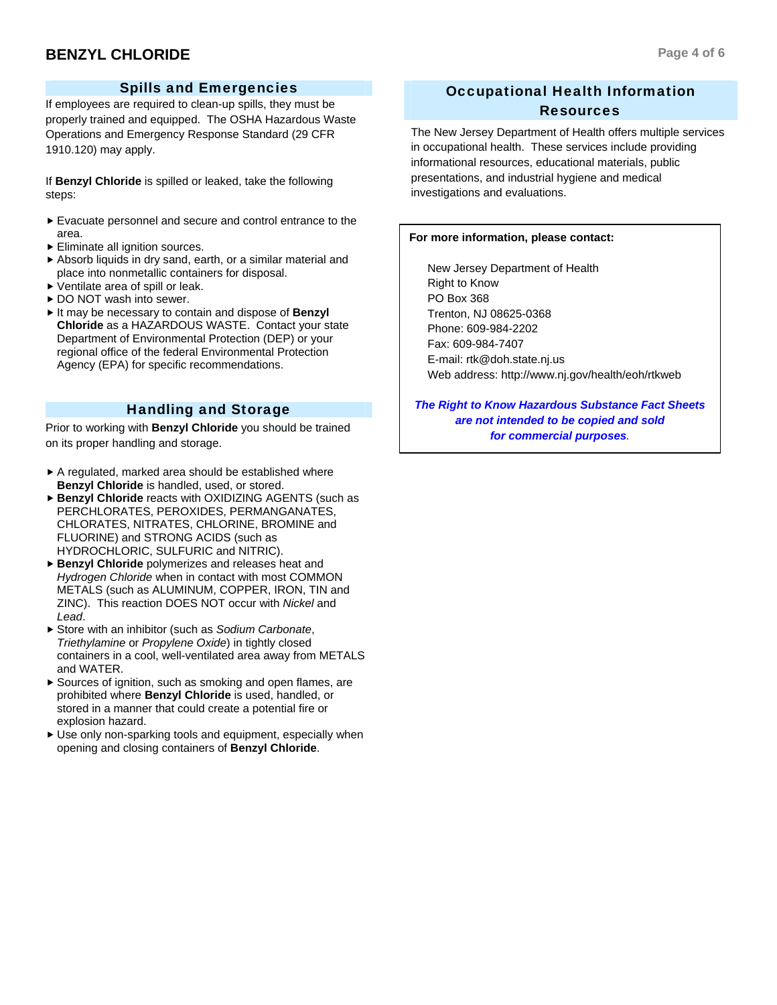## **BENZYL CHLORIDE** Page 4 of 6

## Spills and Emergencies

If employees are required to clean-up spills, they must be properly trained and equipped. The OSHA Hazardous Waste Operations and Emergency Response Standard (29 CFR 1910.120) may apply.

If **Benzyl Chloride** is spilled or leaked, take the following steps:

- $\blacktriangleright$  Evacuate personnel and secure and control entrance to the area.
- $\blacktriangleright$  Eliminate all ignition sources.
- $\blacktriangleright$  Absorb liquids in dry sand, earth, or a similar material and place into nonmetallic containers for disposal.
- $\blacktriangleright$  Ventilate area of spill or leak.
- ▶ DO NOT wash into sewer.
- It may be necessary to contain and dispose of Benzvl **Chloride** as a HAZARDOUS WASTE. Contact your state Department of Environmental Protection (DEP) or your regional office of the federal Environmental Protection Agency (EPA) for specific recommendations.

## Handling and Storage

Prior to working with **Benzyl Chloride** you should be trained on its proper handling and storage.

- $\triangleright$  A regulated, marked area should be established where **Benzyl Chloride** is handled, used, or stored.
- ▶ Benzyl Chloride reacts with OXIDIZING AGENTS (such as PERCHLORATES, PEROXIDES, PERMANGANATES, CHLORATES, NITRATES, CHLORINE, BROMINE and FLUORINE) and STRONG ACIDS (such as HYDROCHLORIC, SULFURIC and NITRIC).
- **Benzyl Chloride** polymerizes and releases heat and *Hydrogen Chloride* when in contact with most COMMON METALS (such as ALUMINUM, COPPER, IRON, TIN and ZINC). This reaction DOES NOT occur with *Nickel* and *Lead*.
- ▶ Store with an inhibitor (such as *Sodium Carbonate*, *Triethylamine* or *Propylene Oxide*) in tightly closed containers in a cool, well-ventilated area away from METALS and WATER.
- $\blacktriangleright$  Sources of ignition, such as smoking and open flames, are prohibited where **Benzyl Chloride** is used, handled, or stored in a manner that could create a potential fire or explosion hazard.
- $\blacktriangleright$  Use only non-sparking tools and equipment, especially when opening and closing containers of **Benzyl Chloride**.

## Occupational Health Information Resources

The New Jersey Department of Health offers multiple services in occupational health. These services include providing informational resources, educational materials, public presentations, and industrial hygiene and medical investigations and evaluations.

#### **For more information, please contact:**

 New Jersey Department of Health Right to Know PO Box 368 Trenton, NJ 08625-0368 Phone: 609-984-2202 Fax: 609-984-7407 E-mail: rtk@doh.state.nj.us Web address: http://www.nj.gov/health/eoh/rtkweb

*The Right to Know Hazardous Substance Fact Sheets are not intended to be copied and sold for commercial purposes.*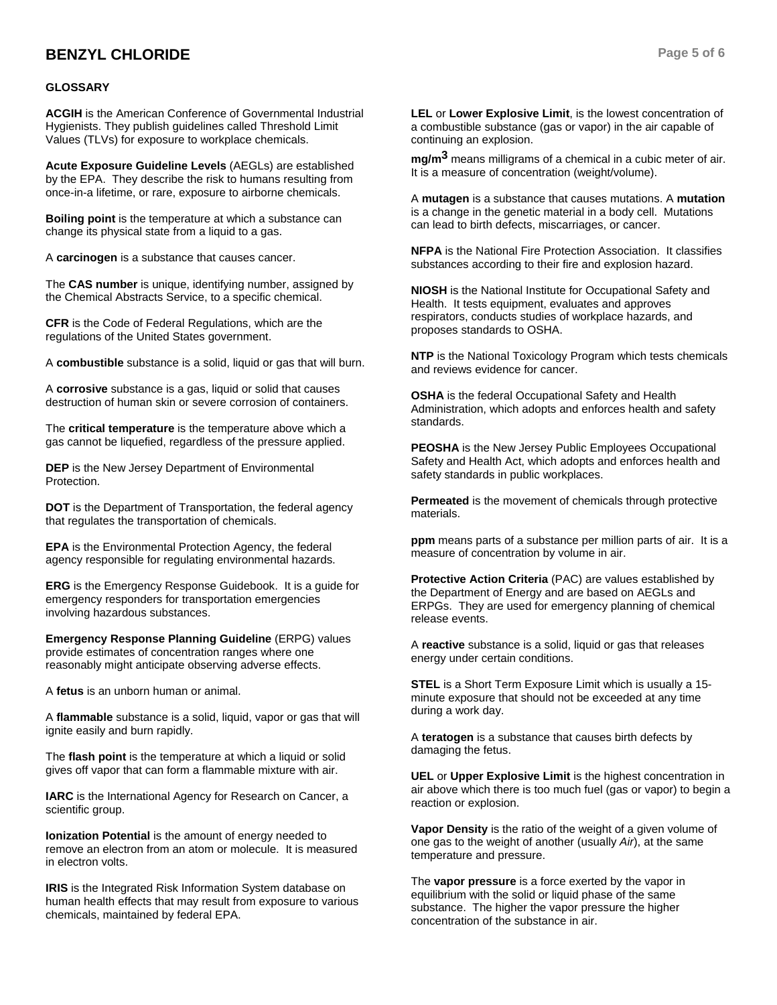## **BENZYL CHLORIDE** Page 5 of 6

#### **GLOSSARY**

**ACGIH** is the American Conference of Governmental Industrial Hygienists. They publish guidelines called Threshold Limit Values (TLVs) for exposure to workplace chemicals.

**Acute Exposure Guideline Levels** (AEGLs) are established by the EPA. They describe the risk to humans resulting from once-in-a lifetime, or rare, exposure to airborne chemicals.

**Boiling point** is the temperature at which a substance can change its physical state from a liquid to a gas.

A **carcinogen** is a substance that causes cancer.

The **CAS number** is unique, identifying number, assigned by the Chemical Abstracts Service, to a specific chemical.

**CFR** is the Code of Federal Regulations, which are the regulations of the United States government.

A **combustible** substance is a solid, liquid or gas that will burn.

A **corrosive** substance is a gas, liquid or solid that causes destruction of human skin or severe corrosion of containers.

The **critical temperature** is the temperature above which a gas cannot be liquefied, regardless of the pressure applied.

**DEP** is the New Jersey Department of Environmental Protection.

**DOT** is the Department of Transportation, the federal agency that regulates the transportation of chemicals.

**EPA** is the Environmental Protection Agency, the federal agency responsible for regulating environmental hazards.

**ERG** is the Emergency Response Guidebook. It is a guide for emergency responders for transportation emergencies involving hazardous substances.

**Emergency Response Planning Guideline** (ERPG) values provide estimates of concentration ranges where one reasonably might anticipate observing adverse effects.

A **fetus** is an unborn human or animal.

A **flammable** substance is a solid, liquid, vapor or gas that will ignite easily and burn rapidly.

The **flash point** is the temperature at which a liquid or solid gives off vapor that can form a flammable mixture with air.

**IARC** is the International Agency for Research on Cancer, a scientific group.

**Ionization Potential** is the amount of energy needed to remove an electron from an atom or molecule. It is measured in electron volts.

**IRIS** is the Integrated Risk Information System database on human health effects that may result from exposure to various chemicals, maintained by federal EPA.

**LEL** or **Lower Explosive Limit**, is the lowest concentration of a combustible substance (gas or vapor) in the air capable of continuing an explosion.

**mg/m3** means milligrams of a chemical in a cubic meter of air. It is a measure of concentration (weight/volume).

A **mutagen** is a substance that causes mutations. A **mutation** is a change in the genetic material in a body cell. Mutations can lead to birth defects, miscarriages, or cancer.

**NFPA** is the National Fire Protection Association. It classifies substances according to their fire and explosion hazard.

**NIOSH** is the National Institute for Occupational Safety and Health. It tests equipment, evaluates and approves respirators, conducts studies of workplace hazards, and proposes standards to OSHA.

**NTP** is the National Toxicology Program which tests chemicals and reviews evidence for cancer.

**OSHA** is the federal Occupational Safety and Health Administration, which adopts and enforces health and safety standards.

**PEOSHA** is the New Jersey Public Employees Occupational Safety and Health Act, which adopts and enforces health and safety standards in public workplaces.

**Permeated** is the movement of chemicals through protective materials.

**ppm** means parts of a substance per million parts of air. It is a measure of concentration by volume in air.

**Protective Action Criteria** (PAC) are values established by the Department of Energy and are based on AEGLs and ERPGs. They are used for emergency planning of chemical release events.

A **reactive** substance is a solid, liquid or gas that releases energy under certain conditions.

**STEL** is a Short Term Exposure Limit which is usually a 15 minute exposure that should not be exceeded at any time during a work day.

A **teratogen** is a substance that causes birth defects by damaging the fetus.

**UEL** or **Upper Explosive Limit** is the highest concentration in air above which there is too much fuel (gas or vapor) to begin a reaction or explosion.

**Vapor Density** is the ratio of the weight of a given volume of one gas to the weight of another (usually *Air*), at the same temperature and pressure.

The **vapor pressure** is a force exerted by the vapor in equilibrium with the solid or liquid phase of the same substance. The higher the vapor pressure the higher concentration of the substance in air.